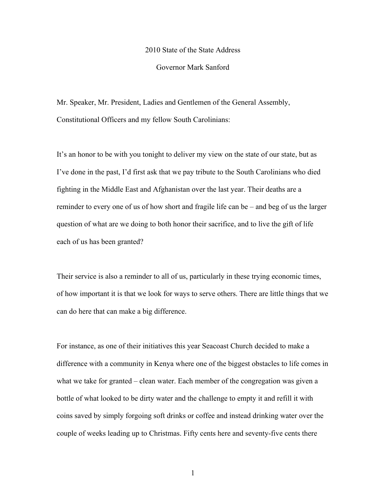## 2010 State of the State Address

## Governor Mark Sanford

Mr. Speaker, Mr. President, Ladies and Gentlemen of the General Assembly, Constitutional Officers and my fellow South Carolinians:

It's an honor to be with you tonight to deliver my view on the state of our state, but as I've done in the past, I'd first ask that we pay tribute to the South Carolinians who died fighting in the Middle East and Afghanistan over the last year. Their deaths are a reminder to every one of us of how short and fragile life can be – and beg of us the larger question of what are we doing to both honor their sacrifice, and to live the gift of life each of us has been granted?

Their service is also a reminder to all of us, particularly in these trying economic times, of how important it is that we look for ways to serve others. There are little things that we can do here that can make a big difference.

For instance, as one of their initiatives this year Seacoast Church decided to make a difference with a community in Kenya where one of the biggest obstacles to life comes in what we take for granted – clean water. Each member of the congregation was given a bottle of what looked to be dirty water and the challenge to empty it and refill it with coins saved by simply forgoing soft drinks or coffee and instead drinking water over the couple of weeks leading up to Christmas. Fifty cents here and seventy-five cents there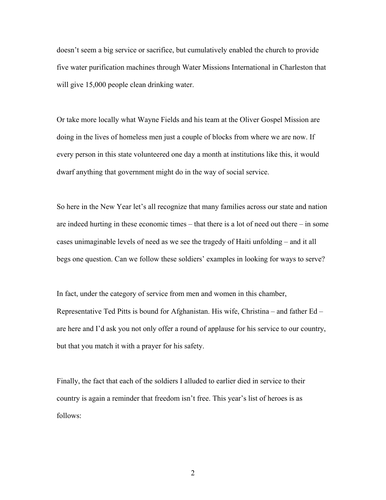doesn't seem a big service or sacrifice, but cumulatively enabled the church to provide five water purification machines through Water Missions International in Charleston that will give 15,000 people clean drinking water.

Or take more locally what Wayne Fields and his team at the Oliver Gospel Mission are doing in the lives of homeless men just a couple of blocks from where we are now. If every person in this state volunteered one day a month at institutions like this, it would dwarf anything that government might do in the way of social service.

So here in the New Year let's all recognize that many families across our state and nation are indeed hurting in these economic times – that there is a lot of need out there – in some cases unimaginable levels of need as we see the tragedy of Haiti unfolding – and it all begs one question. Can we follow these soldiers' examples in looking for ways to serve?

In fact, under the category of service from men and women in this chamber, Representative Ted Pitts is bound for Afghanistan. His wife, Christina – and father Ed – are here and I'd ask you not only offer a round of applause for his service to our country, but that you match it with a prayer for his safety.

Finally, the fact that each of the soldiers I alluded to earlier died in service to their country is again a reminder that freedom isn't free. This year's list of heroes is as follows: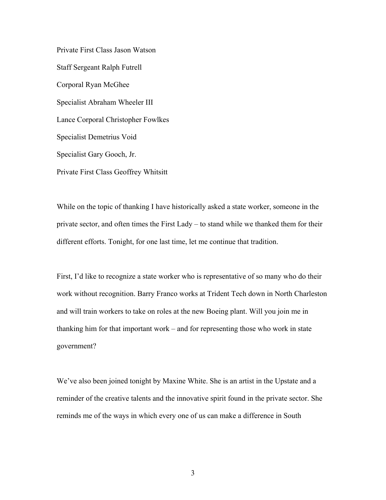Private First Class Jason Watson Staff Sergeant Ralph Futrell Corporal Ryan McGhee Specialist Abraham Wheeler III Lance Corporal Christopher Fowlkes Specialist Demetrius Void Specialist Gary Gooch, Jr. Private First Class Geoffrey Whitsitt

While on the topic of thanking I have historically asked a state worker, someone in the private sector, and often times the First Lady – to stand while we thanked them for their different efforts. Tonight, for one last time, let me continue that tradition.

First, I'd like to recognize a state worker who is representative of so many who do their work without recognition. Barry Franco works at Trident Tech down in North Charleston and will train workers to take on roles at the new Boeing plant. Will you join me in thanking him for that important work – and for representing those who work in state government?

We've also been joined tonight by Maxine White. She is an artist in the Upstate and a reminder of the creative talents and the innovative spirit found in the private sector. She reminds me of the ways in which every one of us can make a difference in South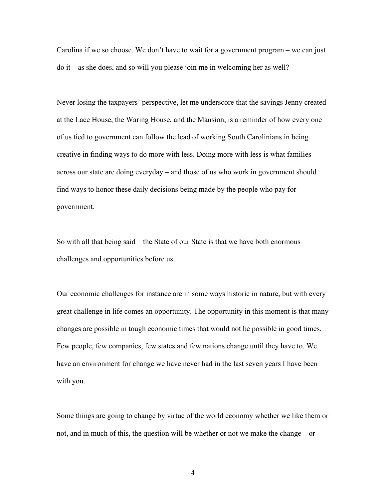Carolina if we so choose. We don't have to wait for a government program – we can just do it – as she does, and so will you please join me in welcoming her as well?

Never losing the taxpayers' perspective, let me underscore that the savings Jenny created at the Lace House, the Waring House, and the Mansion, is a reminder of how every one of us tied to government can follow the lead of working South Carolinians in being creative in finding ways to do more with less. Doing more with less is what families across our state are doing everyday – and those of us who work in government should find ways to honor these daily decisions being made by the people who pay for government.

So with all that being said – the State of our State is that we have both enormous challenges and opportunities before us.

Our economic challenges for instance are in some ways historic in nature, but with every great challenge in life comes an opportunity. The opportunity in this moment is that many changes are possible in tough economic times that would not be possible in good times. Few people, few companies, few states and few nations change until they have to. We have an environment for change we have never had in the last seven years I have been with you.

Some things are going to change by virtue of the world economy whether we like them or not, and in much of this, the question will be whether or not we make the change – or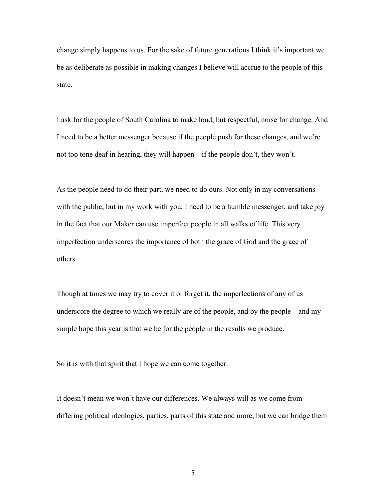change simply happens to us. For the sake of future generations I think it's important we be as deliberate as possible in making changes I believe will accrue to the people of this state.

I ask for the people of South Carolina to make loud, but respectful, noise for change. And I need to be a better messenger because if the people push for these changes, and we're not too tone deaf in hearing, they will happen – if the people don't, they won't.

As the people need to do their part, we need to do ours. Not only in my conversations with the public, but in my work with you, I need to be a humble messenger, and take joy in the fact that our Maker can use imperfect people in all walks of life. This very imperfection underscores the importance of both the grace of God and the grace of others.

Though at times we may try to cover it or forget it, the imperfections of any of us underscore the degree to which we really are of the people, and by the people – and my simple hope this year is that we be for the people in the results we produce.

So it is with that spirit that I hope we can come together.

It doesn't mean we won't have our differences. We always will as we come from differing political ideologies, parties, parts of this state and more, but we can bridge them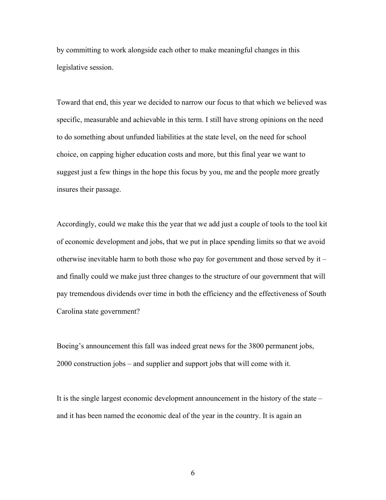by committing to work alongside each other to make meaningful changes in this legislative session.

Toward that end, this year we decided to narrow our focus to that which we believed was specific, measurable and achievable in this term. I still have strong opinions on the need to do something about unfunded liabilities at the state level, on the need for school choice, on capping higher education costs and more, but this final year we want to suggest just a few things in the hope this focus by you, me and the people more greatly insures their passage.

Accordingly, could we make this the year that we add just a couple of tools to the tool kit of economic development and jobs, that we put in place spending limits so that we avoid otherwise inevitable harm to both those who pay for government and those served by it – and finally could we make just three changes to the structure of our government that will pay tremendous dividends over time in both the efficiency and the effectiveness of South Carolina state government?

Boeing's announcement this fall was indeed great news for the 3800 permanent jobs, 2000 construction jobs – and supplier and support jobs that will come with it.

It is the single largest economic development announcement in the history of the state – and it has been named the economic deal of the year in the country. It is again an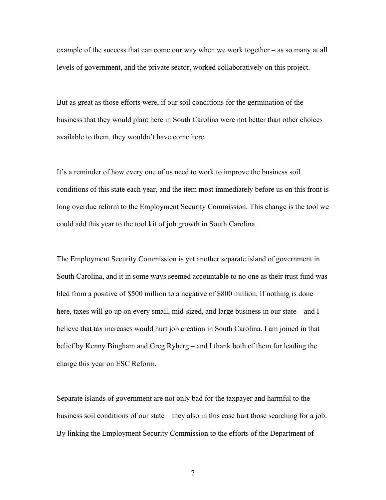example of the success that can come our way when we work together – as so many at all levels of government, and the private sector, worked collaboratively on this project.

But as great as those efforts were, if our soil conditions for the germination of the business that they would plant here in South Carolina were not better than other choices available to them, they wouldn't have come here.

It's a reminder of how every one of us need to work to improve the business soil conditions of this state each year, and the item most immediately before us on this front is long overdue reform to the Employment Security Commission. This change is the tool we could add this year to the tool kit of job growth in South Carolina.

The Employment Security Commission is yet another separate island of government in South Carolina, and it in some ways seemed accountable to no one as their trust fund was bled from a positive of \$500 million to a negative of \$800 million. If nothing is done here, taxes will go up on every small, mid-sized, and large business in our state – and I believe that tax increases would hurt job creation in South Carolina. I am joined in that belief by Kenny Bingham and Greg Ryberg – and I thank both of them for leading the charge this year on ESC Reform.

Separate islands of government are not only bad for the taxpayer and harmful to the business soil conditions of our state – they also in this case hurt those searching for a job. By linking the Employment Security Commission to the efforts of the Department of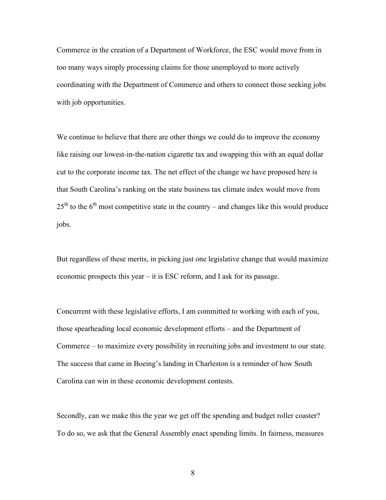Commerce in the creation of a Department of Workforce, the ESC would move from in too many ways simply processing claims for those unemployed to more actively coordinating with the Department of Commerce and others to connect those seeking jobs with job opportunities.

We continue to believe that there are other things we could do to improve the economy like raising our lowest-in-the-nation cigarette tax and swapping this with an equal dollar cut to the corporate income tax. The net effect of the change we have proposed here is that South Carolina's ranking on the state business tax climate index would move from  $25<sup>th</sup>$  to the 6<sup>th</sup> most competitive state in the country – and changes like this would produce jobs.

But regardless of these merits, in picking just one legislative change that would maximize economic prospects this year – it is ESC reform, and I ask for its passage.

Concurrent with these legislative efforts, I am committed to working with each of you, those spearheading local economic development efforts – and the Department of Commerce – to maximize every possibility in recruiting jobs and investment to our state. The success that came in Boeing's landing in Charleston is a reminder of how South Carolina can win in these economic development contests.

Secondly, can we make this the year we get off the spending and budget roller coaster? To do so, we ask that the General Assembly enact spending limits. In fairness, measures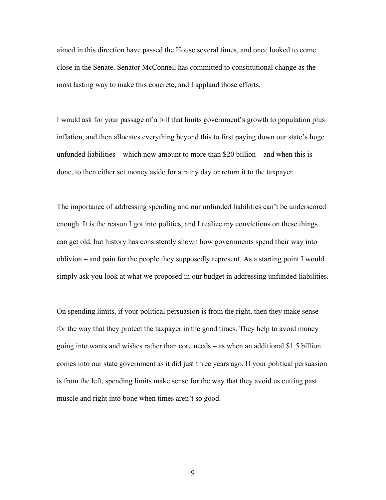aimed in this direction have passed the House several times, and once looked to come close in the Senate. Senator McConnell has committed to constitutional change as the most lasting way to make this concrete, and I applaud those efforts.

I would ask for your passage of a bill that limits government's growth to population plus inflation, and then allocates everything beyond this to first paying down our state's huge unfunded liabilities – which now amount to more than \$20 billion – and when this is done, to then either set money aside for a rainy day or return it to the taxpayer.

The importance of addressing spending and our unfunded liabilities can't be underscored enough. It is the reason I got into politics, and I realize my convictions on these things can get old, but history has consistently shown how governments spend their way into oblivion – and pain for the people they supposedly represent. As a starting point I would simply ask you look at what we proposed in our budget in addressing unfunded liabilities.

On spending limits, if your political persuasion is from the right, then they make sense for the way that they protect the taxpayer in the good times. They help to avoid money going into wants and wishes rather than core needs – as when an additional \$1.5 billion comes into our state government as it did just three years ago. If your political persuasion is from the left, spending limits make sense for the way that they avoid us cutting past muscle and right into bone when times aren't so good.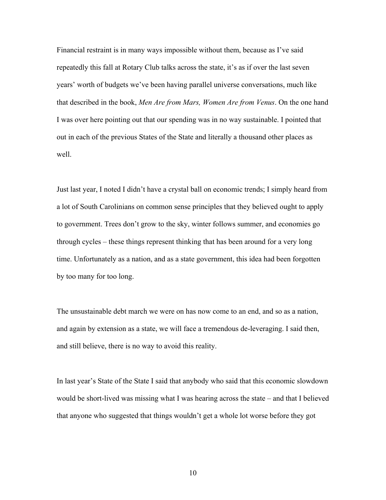Financial restraint is in many ways impossible without them, because as I've said repeatedly this fall at Rotary Club talks across the state, it's as if over the last seven years' worth of budgets we've been having parallel universe conversations, much like that described in the book, *Men Are from Mars, Women Are from Venus*. On the one hand I was over here pointing out that our spending was in no way sustainable. I pointed that out in each of the previous States of the State and literally a thousand other places as well.

Just last year, I noted I didn't have a crystal ball on economic trends; I simply heard from a lot of South Carolinians on common sense principles that they believed ought to apply to government. Trees don't grow to the sky, winter follows summer, and economies go through cycles – these things represent thinking that has been around for a very long time. Unfortunately as a nation, and as a state government, this idea had been forgotten by too many for too long.

The unsustainable debt march we were on has now come to an end, and so as a nation, and again by extension as a state, we will face a tremendous de-leveraging. I said then, and still believe, there is no way to avoid this reality.

In last year's State of the State I said that anybody who said that this economic slowdown would be short-lived was missing what I was hearing across the state – and that I believed that anyone who suggested that things wouldn't get a whole lot worse before they got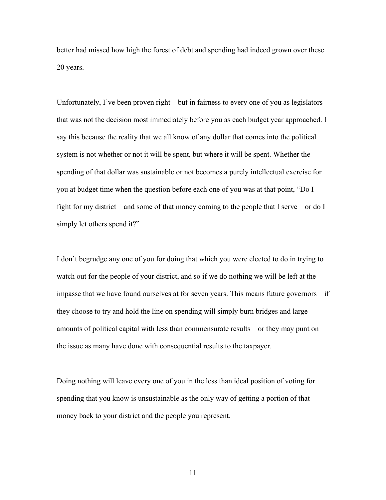better had missed how high the forest of debt and spending had indeed grown over these 20 years.

Unfortunately, I've been proven right – but in fairness to every one of you as legislators that was not the decision most immediately before you as each budget year approached. I say this because the reality that we all know of any dollar that comes into the political system is not whether or not it will be spent, but where it will be spent. Whether the spending of that dollar was sustainable or not becomes a purely intellectual exercise for you at budget time when the question before each one of you was at that point, "Do I fight for my district – and some of that money coming to the people that I serve – or do I simply let others spend it?"

I don't begrudge any one of you for doing that which you were elected to do in trying to watch out for the people of your district, and so if we do nothing we will be left at the impasse that we have found ourselves at for seven years. This means future governors – if they choose to try and hold the line on spending will simply burn bridges and large amounts of political capital with less than commensurate results – or they may punt on the issue as many have done with consequential results to the taxpayer.

Doing nothing will leave every one of you in the less than ideal position of voting for spending that you know is unsustainable as the only way of getting a portion of that money back to your district and the people you represent.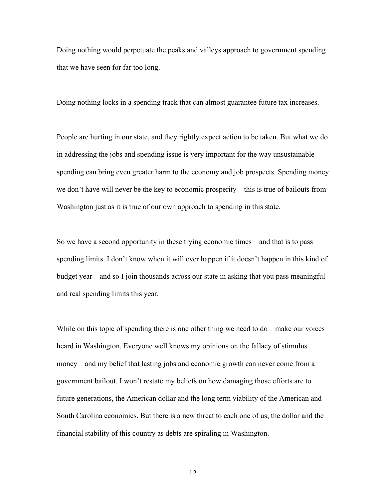Doing nothing would perpetuate the peaks and valleys approach to government spending that we have seen for far too long.

Doing nothing locks in a spending track that can almost guarantee future tax increases.

People are hurting in our state, and they rightly expect action to be taken. But what we do in addressing the jobs and spending issue is very important for the way unsustainable spending can bring even greater harm to the economy and job prospects. Spending money we don't have will never be the key to economic prosperity – this is true of bailouts from Washington just as it is true of our own approach to spending in this state.

So we have a second opportunity in these trying economic times – and that is to pass spending limits. I don't know when it will ever happen if it doesn't happen in this kind of budget year – and so I join thousands across our state in asking that you pass meaningful and real spending limits this year.

While on this topic of spending there is one other thing we need to do – make our voices heard in Washington. Everyone well knows my opinions on the fallacy of stimulus money – and my belief that lasting jobs and economic growth can never come from a government bailout. I won't restate my beliefs on how damaging those efforts are to future generations, the American dollar and the long term viability of the American and South Carolina economies. But there is a new threat to each one of us, the dollar and the financial stability of this country as debts are spiraling in Washington.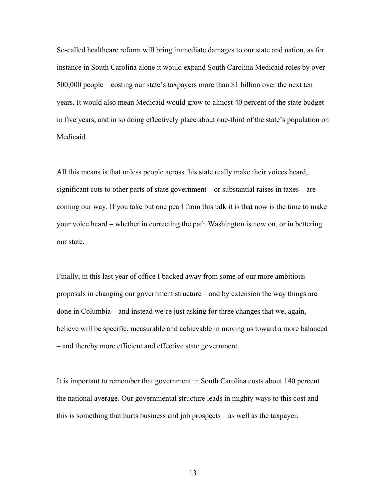So-called healthcare reform will bring immediate damages to our state and nation, as for instance in South Carolina alone it would expand South Carolina Medicaid roles by over 500,000 people – costing our state's taxpayers more than \$1 billion over the next ten years. It would also mean Medicaid would grow to almost 40 percent of the state budget in five years, and in so doing effectively place about one-third of the state's population on Medicaid.

All this means is that unless people across this state really make their voices heard, significant cuts to other parts of state government – or substantial raises in taxes – are coming our way. If you take but one pearl from this talk it is that now is the time to make your voice heard – whether in correcting the path Washington is now on, or in bettering our state.

Finally, in this last year of office I backed away from some of our more ambitious proposals in changing our government structure – and by extension the way things are done in Columbia – and instead we're just asking for three changes that we, again, believe will be specific, measurable and achievable in moving us toward a more balanced – and thereby more efficient and effective state government.

It is important to remember that government in South Carolina costs about 140 percent the national average. Our governmental structure leads in mighty ways to this cost and this is something that hurts business and job prospects – as well as the taxpayer.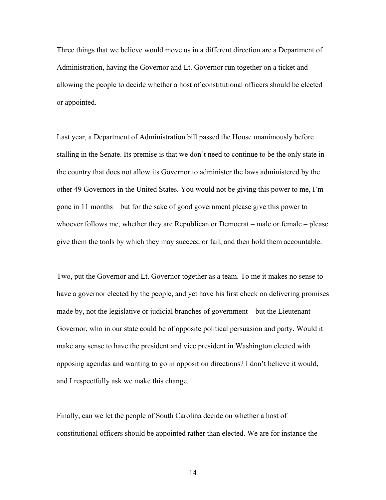Three things that we believe would move us in a different direction are a Department of Administration, having the Governor and Lt. Governor run together on a ticket and allowing the people to decide whether a host of constitutional officers should be elected or appointed.

Last year, a Department of Administration bill passed the House unanimously before stalling in the Senate. Its premise is that we don't need to continue to be the only state in the country that does not allow its Governor to administer the laws administered by the other 49 Governors in the United States. You would not be giving this power to me, I'm gone in 11 months – but for the sake of good government please give this power to whoever follows me, whether they are Republican or Democrat – male or female – please give them the tools by which they may succeed or fail, and then hold them accountable.

Two, put the Governor and Lt. Governor together as a team. To me it makes no sense to have a governor elected by the people, and yet have his first check on delivering promises made by, not the legislative or judicial branches of government – but the Lieutenant Governor, who in our state could be of opposite political persuasion and party. Would it make any sense to have the president and vice president in Washington elected with opposing agendas and wanting to go in opposition directions? I don't believe it would, and I respectfully ask we make this change.

Finally, can we let the people of South Carolina decide on whether a host of constitutional officers should be appointed rather than elected. We are for instance the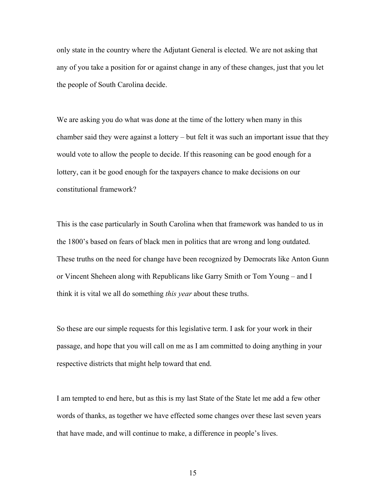only state in the country where the Adjutant General is elected. We are not asking that any of you take a position for or against change in any of these changes, just that you let the people of South Carolina decide.

We are asking you do what was done at the time of the lottery when many in this chamber said they were against a lottery – but felt it was such an important issue that they would vote to allow the people to decide. If this reasoning can be good enough for a lottery, can it be good enough for the taxpayers chance to make decisions on our constitutional framework?

This is the case particularly in South Carolina when that framework was handed to us in the 1800's based on fears of black men in politics that are wrong and long outdated. These truths on the need for change have been recognized by Democrats like Anton Gunn or Vincent Sheheen along with Republicans like Garry Smith or Tom Young – and I think it is vital we all do something *this year* about these truths.

So these are our simple requests for this legislative term. I ask for your work in their passage, and hope that you will call on me as I am committed to doing anything in your respective districts that might help toward that end.

I am tempted to end here, but as this is my last State of the State let me add a few other words of thanks, as together we have effected some changes over these last seven years that have made, and will continue to make, a difference in people's lives.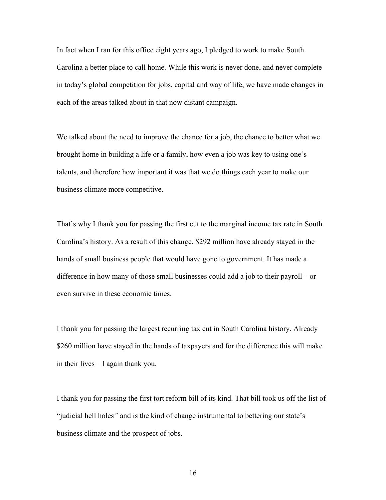In fact when I ran for this office eight years ago, I pledged to work to make South Carolina a better place to call home. While this work is never done, and never complete in today's global competition for jobs, capital and way of life, we have made changes in each of the areas talked about in that now distant campaign.

We talked about the need to improve the chance for a job, the chance to better what we brought home in building a life or a family, how even a job was key to using one's talents, and therefore how important it was that we do things each year to make our business climate more competitive.

That's why I thank you for passing the first cut to the marginal income tax rate in South Carolina's history. As a result of this change, \$292 million have already stayed in the hands of small business people that would have gone to government. It has made a difference in how many of those small businesses could add a job to their payroll – or even survive in these economic times.

I thank you for passing the largest recurring tax cut in South Carolina history. Already \$260 million have stayed in the hands of taxpayers and for the difference this will make in their lives – I again thank you.

I thank you for passing the first tort reform bill of its kind. That bill took us off the list of "judicial hell holes*"* and is the kind of change instrumental to bettering our state's business climate and the prospect of jobs.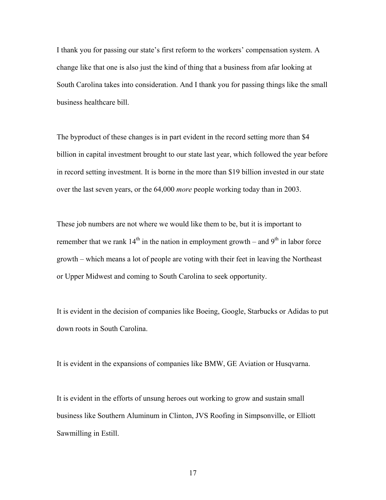I thank you for passing our state's first reform to the workers' compensation system. A change like that one is also just the kind of thing that a business from afar looking at South Carolina takes into consideration. And I thank you for passing things like the small business healthcare bill.

The byproduct of these changes is in part evident in the record setting more than \$4 billion in capital investment brought to our state last year, which followed the year before in record setting investment. It is borne in the more than \$19 billion invested in our state over the last seven years, or the 64,000 *more* people working today than in 2003.

These job numbers are not where we would like them to be, but it is important to remember that we rank  $14<sup>th</sup>$  in the nation in employment growth – and  $9<sup>th</sup>$  in labor force growth – which means a lot of people are voting with their feet in leaving the Northeast or Upper Midwest and coming to South Carolina to seek opportunity.

It is evident in the decision of companies like Boeing, Google, Starbucks or Adidas to put down roots in South Carolina.

It is evident in the expansions of companies like BMW, GE Aviation or Husqvarna.

It is evident in the efforts of unsung heroes out working to grow and sustain small business like Southern Aluminum in Clinton, JVS Roofing in Simpsonville, or Elliott Sawmilling in Estill.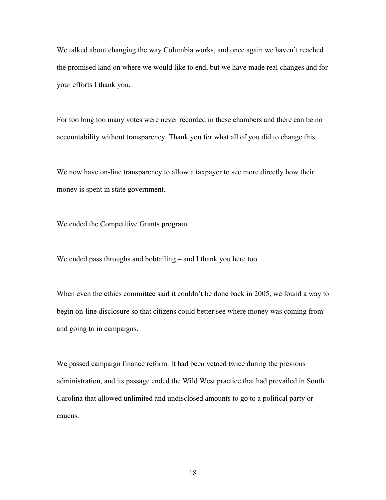We talked about changing the way Columbia works, and once again we haven't reached the promised land on where we would like to end, but we have made real changes and for your efforts I thank you.

For too long too many votes were never recorded in these chambers and there can be no accountability without transparency. Thank you for what all of you did to change this.

We now have on-line transparency to allow a taxpayer to see more directly how their money is spent in state government.

We ended the Competitive Grants program.

We ended pass throughs and bobtailing – and I thank you here too.

When even the ethics committee said it couldn't be done back in 2005, we found a way to begin on-line disclosure so that citizens could better see where money was coming from and going to in campaigns.

We passed campaign finance reform. It had been vetoed twice during the previous administration, and its passage ended the Wild West practice that had prevailed in South Carolina that allowed unlimited and undisclosed amounts to go to a political party or caucus.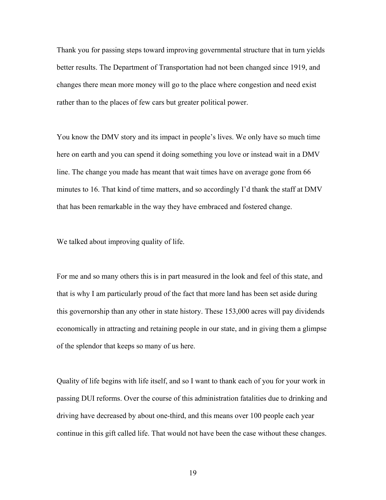Thank you for passing steps toward improving governmental structure that in turn yields better results. The Department of Transportation had not been changed since 1919, and changes there mean more money will go to the place where congestion and need exist rather than to the places of few cars but greater political power.

You know the DMV story and its impact in people's lives. We only have so much time here on earth and you can spend it doing something you love or instead wait in a DMV line. The change you made has meant that wait times have on average gone from 66 minutes to 16. That kind of time matters, and so accordingly I'd thank the staff at DMV that has been remarkable in the way they have embraced and fostered change.

We talked about improving quality of life.

For me and so many others this is in part measured in the look and feel of this state, and that is why I am particularly proud of the fact that more land has been set aside during this governorship than any other in state history. These 153,000 acres will pay dividends economically in attracting and retaining people in our state, and in giving them a glimpse of the splendor that keeps so many of us here.

Quality of life begins with life itself, and so I want to thank each of you for your work in passing DUI reforms. Over the course of this administration fatalities due to drinking and driving have decreased by about one-third, and this means over 100 people each year continue in this gift called life. That would not have been the case without these changes.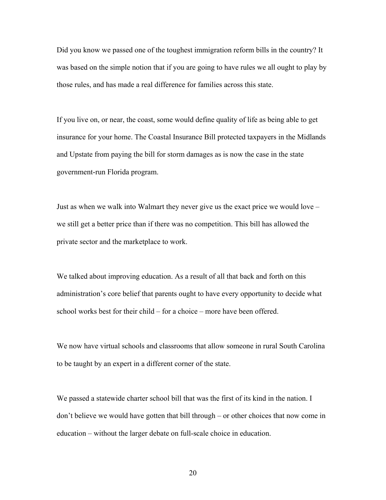Did you know we passed one of the toughest immigration reform bills in the country? It was based on the simple notion that if you are going to have rules we all ought to play by those rules, and has made a real difference for families across this state.

If you live on, or near, the coast, some would define quality of life as being able to get insurance for your home. The Coastal Insurance Bill protected taxpayers in the Midlands and Upstate from paying the bill for storm damages as is now the case in the state government-run Florida program.

Just as when we walk into Walmart they never give us the exact price we would love – we still get a better price than if there was no competition. This bill has allowed the private sector and the marketplace to work.

We talked about improving education. As a result of all that back and forth on this administration's core belief that parents ought to have every opportunity to decide what school works best for their child – for a choice – more have been offered.

We now have virtual schools and classrooms that allow someone in rural South Carolina to be taught by an expert in a different corner of the state.

We passed a statewide charter school bill that was the first of its kind in the nation. I don't believe we would have gotten that bill through – or other choices that now come in education – without the larger debate on full-scale choice in education.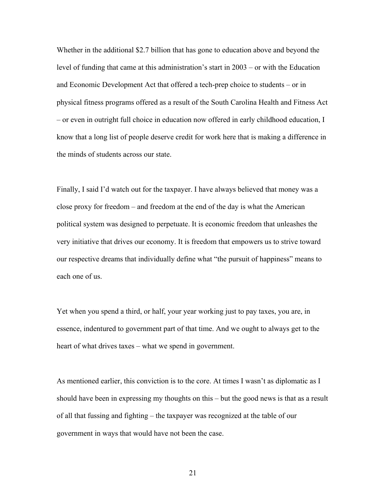Whether in the additional \$2.7 billion that has gone to education above and beyond the level of funding that came at this administration's start in 2003 – or with the Education and Economic Development Act that offered a tech-prep choice to students – or in physical fitness programs offered as a result of the South Carolina Health and Fitness Act – or even in outright full choice in education now offered in early childhood education, I know that a long list of people deserve credit for work here that is making a difference in the minds of students across our state.

Finally, I said I'd watch out for the taxpayer. I have always believed that money was a close proxy for freedom – and freedom at the end of the day is what the American political system was designed to perpetuate. It is economic freedom that unleashes the very initiative that drives our economy. It is freedom that empowers us to strive toward our respective dreams that individually define what "the pursuit of happiness" means to each one of us.

Yet when you spend a third, or half, your year working just to pay taxes, you are, in essence, indentured to government part of that time. And we ought to always get to the heart of what drives taxes – what we spend in government.

As mentioned earlier, this conviction is to the core. At times I wasn't as diplomatic as I should have been in expressing my thoughts on this – but the good news is that as a result of all that fussing and fighting – the taxpayer was recognized at the table of our government in ways that would have not been the case.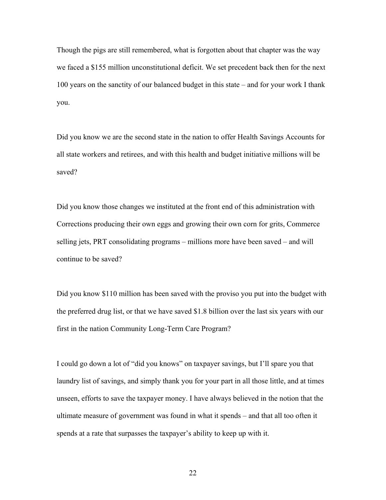Though the pigs are still remembered, what is forgotten about that chapter was the way we faced a \$155 million unconstitutional deficit. We set precedent back then for the next 100 years on the sanctity of our balanced budget in this state – and for your work I thank you.

Did you know we are the second state in the nation to offer Health Savings Accounts for all state workers and retirees, and with this health and budget initiative millions will be saved?

Did you know those changes we instituted at the front end of this administration with Corrections producing their own eggs and growing their own corn for grits, Commerce selling jets, PRT consolidating programs – millions more have been saved – and will continue to be saved?

Did you know \$110 million has been saved with the proviso you put into the budget with the preferred drug list, or that we have saved \$1.8 billion over the last six years with our first in the nation Community Long-Term Care Program?

I could go down a lot of "did you knows" on taxpayer savings, but I'll spare you that laundry list of savings, and simply thank you for your part in all those little, and at times unseen, efforts to save the taxpayer money. I have always believed in the notion that the ultimate measure of government was found in what it spends – and that all too often it spends at a rate that surpasses the taxpayer's ability to keep up with it.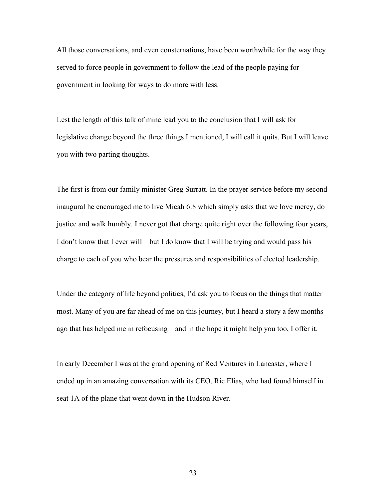All those conversations, and even consternations, have been worthwhile for the way they served to force people in government to follow the lead of the people paying for government in looking for ways to do more with less.

Lest the length of this talk of mine lead you to the conclusion that I will ask for legislative change beyond the three things I mentioned, I will call it quits. But I will leave you with two parting thoughts.

The first is from our family minister Greg Surratt. In the prayer service before my second inaugural he encouraged me to live Micah 6:8 which simply asks that we love mercy, do justice and walk humbly. I never got that charge quite right over the following four years, I don't know that I ever will – but I do know that I will be trying and would pass his charge to each of you who bear the pressures and responsibilities of elected leadership.

Under the category of life beyond politics, I'd ask you to focus on the things that matter most. Many of you are far ahead of me on this journey, but I heard a story a few months ago that has helped me in refocusing – and in the hope it might help you too, I offer it.

In early December I was at the grand opening of Red Ventures in Lancaster, where I ended up in an amazing conversation with its CEO, Ric Elias, who had found himself in seat 1A of the plane that went down in the Hudson River.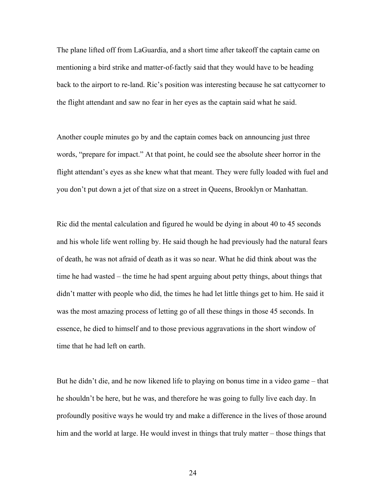The plane lifted off from LaGuardia, and a short time after takeoff the captain came on mentioning a bird strike and matter-of-factly said that they would have to be heading back to the airport to re-land. Ric's position was interesting because he sat cattycorner to the flight attendant and saw no fear in her eyes as the captain said what he said.

Another couple minutes go by and the captain comes back on announcing just three words, "prepare for impact." At that point, he could see the absolute sheer horror in the flight attendant's eyes as she knew what that meant. They were fully loaded with fuel and you don't put down a jet of that size on a street in Queens, Brooklyn or Manhattan.

Ric did the mental calculation and figured he would be dying in about 40 to 45 seconds and his whole life went rolling by. He said though he had previously had the natural fears of death, he was not afraid of death as it was so near. What he did think about was the time he had wasted – the time he had spent arguing about petty things, about things that didn't matter with people who did, the times he had let little things get to him. He said it was the most amazing process of letting go of all these things in those 45 seconds. In essence, he died to himself and to those previous aggravations in the short window of time that he had left on earth.

But he didn't die, and he now likened life to playing on bonus time in a video game – that he shouldn't be here, but he was, and therefore he was going to fully live each day. In profoundly positive ways he would try and make a difference in the lives of those around him and the world at large. He would invest in things that truly matter – those things that